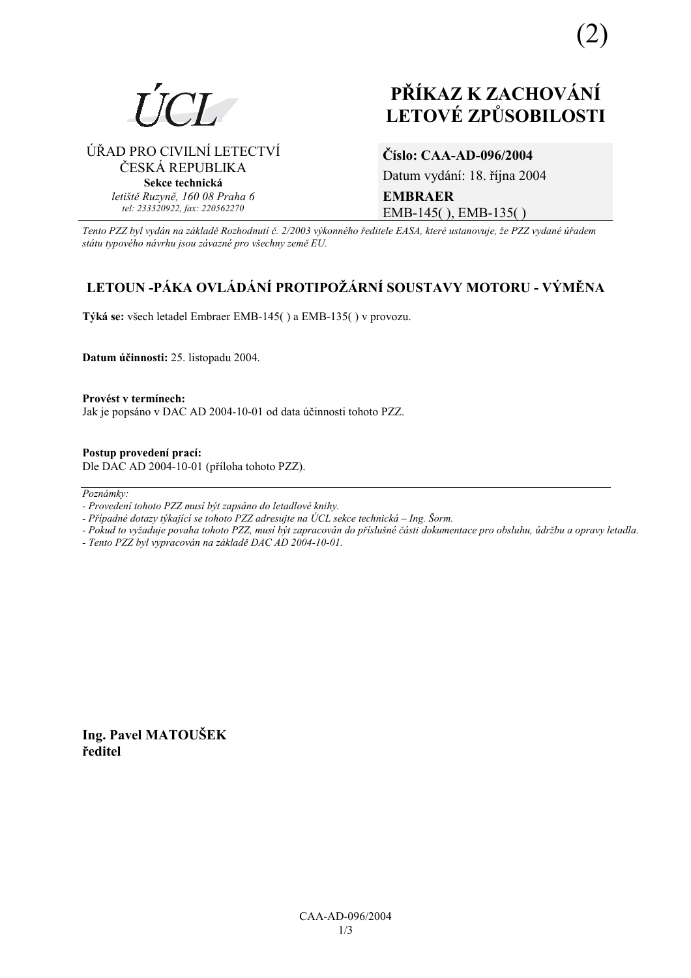

# **PŘÍKAZ K ZACHOVÁNÍ LETOV… ZPŮSOBILOSTI**

ÚŘAD PRO CIVILNÍ LETECTVÍ ČESKÁ REPUBLIKA **Sekce technická** *letiötě Ruzyně, 160 08 Praha 6 tel: 233320922, fax: 220562270*

### **ČÌslo: CAA-AD-096/2004**

Datum vydání: 18. října 2004 **EMBRAER**  EMB-145( ), EMB-135( )

*Tento PZZ byl vyd·n na z·kladě RozhodnutÌ č. 2/2003 v˝konnÈho ředitele EASA, kterÈ ustanovuje, ûe PZZ vydanÈ ˙řadem st·tu typovÈho n·vrhu jsou z·vaznÈ pro vöechny země EU.*

## **LETOUN -P£KA OVL£D£NÕ PROTIPOé£RNÕ SOUSTAVY MOTORU - V›MĚNA**

**T˝k· se:** vöech letadel Embraer EMB-145( ) a EMB-135( ) v provozu.

**Datum ˙činnosti:** 25. listopadu 2004.

Provést v termínech: Jak je popsáno v DAC AD 2004-10-01 od data účinnosti tohoto PZZ.

**Postup provedenÌ pracÌ:**  Dle DAC AD 2004-10-01 (přÌloha tohoto PZZ).

Poznámky:

*- Pokud to vyûaduje povaha tohoto PZZ, musÌ b˝t zapracov·n do přÌsluönÈ č·sti dokumentace pro obsluhu, ˙drûbu a opravy letadla.* 

*- Tento PZZ byl vypracov·n na z·kladě DAC AD 2004-10-01.* 

**Ing. Pavel MATOUäEK ředitel** 

*<sup>-</sup> ProvedenÌ tohoto PZZ musÌ b˝t zaps·no do letadlovÈ knihy.* 

*<sup>-</sup> Případné dotazy týkající se tohoto PZZ adresujte na ÚCL sekce technická – Ing. Šorm.*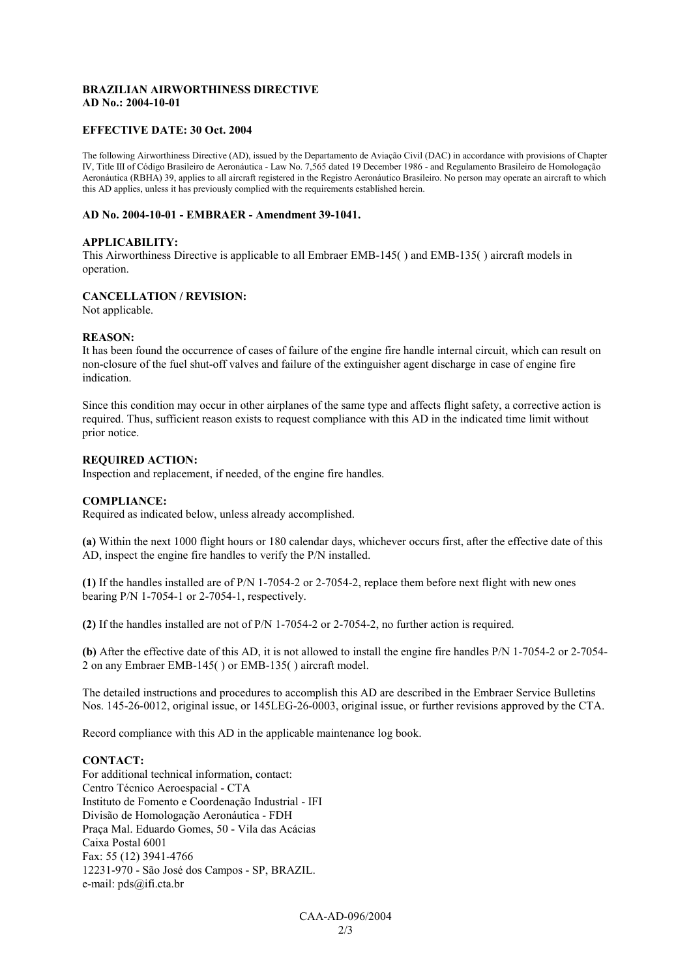#### **BRAZILIAN AIRWORTHINESS DIRECTIVE AD No.: 2004-10-01**

#### **EFFECTIVE DATE: 30 Oct. 2004**

The following Airworthiness Directive (AD), issued by the Departamento de Aviação Civil (DAC) in accordance with provisions of Chapter IV, Title III of Código Brasileiro de Aeronáutica - Law No. 7,565 dated 19 December 1986 - and Regulamento Brasileiro de Homologação Aeronáutica (RBHA) 39, applies to all aircraft registered in the Registro Aeronáutico Brasileiro. No person may operate an aircraft to which this AD applies, unless it has previously complied with the requirements established herein.

#### **AD No. 2004-10-01 - EMBRAER - Amendment 39-1041.**

#### **APPLICABILITY:**

This Airworthiness Directive is applicable to all Embraer EMB-145( ) and EMB-135( ) aircraft models in operation.

#### **CANCELLATION / REVISION:**

Not applicable.

#### **REASON:**

It has been found the occurrence of cases of failure of the engine fire handle internal circuit, which can result on non-closure of the fuel shut-off valves and failure of the extinguisher agent discharge in case of engine fire indication.

Since this condition may occur in other airplanes of the same type and affects flight safety, a corrective action is required. Thus, sufficient reason exists to request compliance with this AD in the indicated time limit without prior notice.

#### **REQUIRED ACTION:**

Inspection and replacement, if needed, of the engine fire handles.

#### **COMPLIANCE:**

Required as indicated below, unless already accomplished.

**(a)** Within the next 1000 flight hours or 180 calendar days, whichever occurs first, after the effective date of this AD, inspect the engine fire handles to verify the P/N installed.

**(1)** If the handles installed are of P/N 1-7054-2 or 2-7054-2, replace them before next flight with new ones bearing P/N 1-7054-1 or 2-7054-1, respectively.

**(2)** If the handles installed are not of P/N 1-7054-2 or 2-7054-2, no further action is required.

**(b)** After the effective date of this AD, it is not allowed to install the engine fire handles P/N 1-7054-2 or 2-7054- 2 on any Embraer EMB-145( ) or EMB-135( ) aircraft model.

The detailed instructions and procedures to accomplish this AD are described in the Embraer Service Bulletins Nos. 145-26-0012, original issue, or 145LEG-26-0003, original issue, or further revisions approved by the CTA.

Record compliance with this AD in the applicable maintenance log book.

#### **CONTACT:**

For additional technical information, contact: Centro Técnico Aeroespacial - CTA Instituto de Fomento e Coordenação Industrial - IFI Divisão de Homologação Aeronáutica - FDH Praça Mal. Eduardo Gomes, 50 - Vila das Acácias Caixa Postal 6001 Fax: 55 (12) 3941-4766 12231-970 - São José dos Campos - SP, BRAZIL. e-mail: pds@ifi.cta.br